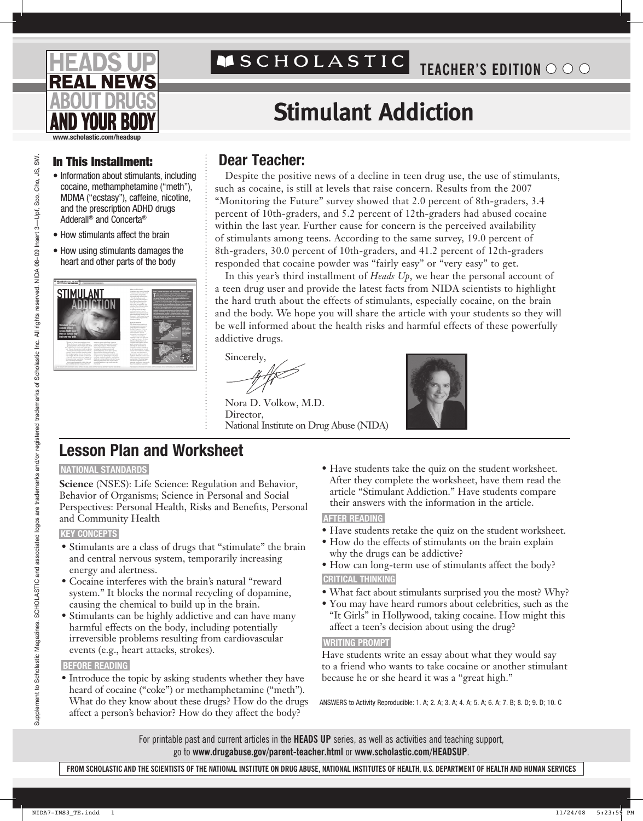

#### **MSCHOLASTIC Teacher's Edition**

# **Stimulant Addiction**

**www.scholastic.com/headsup**

- Information about stimulants, including cocaine, methamphetamine ("meth"), MDMA ("ecstasy"), caffeine, nicotine, and the prescription ADHD drugs Adderall® and Concerta®
- How stimulants affect the brain
- heart and other parts of the body<br> • How using stimulants damages the

# **AND YOUR BOOT** STIMULANI **ABDICTION**

## In This Installment: **Dear Teacher:**

Despite the positive news of a decline in teen drug use, the use of stimulants, such as cocaine, is still at levels that raise concern. Results from the 2007 "Monitoring the Future" survey showed that 2.0 percent of 8th-graders, 3.4 percent of 10th-graders, and 5.2 percent of 12th-graders had abused cocaine within the last year. Further cause for concern is the perceived availability of stimulants among teens. According to the same survey, 19.0 percent of 8th-graders, 30.0 percent of 10th-graders, and 41.2 percent of 12th-graders responded that cocaine powder was "fairly easy" or "very easy" to get.

In this year's third installment of *Heads Up*, we hear the personal account of a teen drug user and provide the latest facts from NIDA scientists to highlight the hard truth about the effects of stimulants, especially cocaine, on the brain and the body. We hope you will share the article with your students so they will be well informed about the health risks and harmful effects of these powerfully addictive drugs.

Sincerely,

Nora D. Volkow, M.D. Director, National Institute on Drug Abuse (NIDA)



## **Lesson Plan and Worksheet**

#### **NATIONAL STANDARDS**

**Science** (NSES): Life Science: Regulation and Behavior, Behavior of Organisms; Science in Personal and Social Perspectives: Personal Health, Risks and Benefits, Personal and Community Health

#### **KEY CONCEPTS**

- Stimulants are a class of drugs that "stimulate" the brain and central nervous system, temporarily increasing energy and alertness.
- Cocaine interferes with the brain's natural "reward system." It blocks the normal recycling of dopamine, causing the chemical to build up in the brain.
- Stimulants can be highly addictive and can have many harmful effects on the body, including potentially irreversible problems resulting from cardiovascular events (e.g., heart attacks, strokes).

#### **BEFORE READING**

• Introduce the topic by asking students whether they have heard of cocaine ("coke") or methamphetamine ("meth"). What do they know about these drugs? How do the drugs affect a person's behavior? How do they affect the body?

• Have students take the quiz on the student worksheet. After they complete the worksheet, have them read the article "Stimulant Addiction." Have students compare their answers with the information in the article.

#### **AFTER READING**

- Have students retake the quiz on the student worksheet.
- How do the effects of stimulants on the brain explain why the drugs can be addictive?
- How can long-term use of stimulants affect the body? **CRITICAL THINKING**
- What fact about stimulants surprised you the most? Why?
- You may have heard rumors about celebrities, such as the "It Girls" in Hollywood, taking cocaine. How might this affect a teen's decision about using the drug?

#### **WRITING PROMPT**

Have students write an essay about what they would say to a friend who wants to take cocaine or another stimulant because he or she heard it was a "great high."

ANSWERS to Activity Reproducible: 1. A; 2. A; 3. A; 4. A; 5. A; 6. A; 7. B; 8. D; 9. D; 10. C

For printable past and current articles in the **HEADS UP** series, as well as activities and teaching support, go to **www.drugabuse.gov/parent-teacher.html** or **www.scholastic.com/headsup**.

# —Upf, Sco, Cho, JS, SW. Supplement to Scholastic Magazines, SCHOLASTIC and associated logos are trademarks and/or registered trademarks of Scholastic Inc. All rights reserved. NDA 08-09 Insert 3--Upf, Sco, Cho, JS, Supplement to Scholastic Magazines. SCHOLASTIC and associated logos are trademarks and/or registered trademarks of Scholastic Inc. All rights reserved. NIDA 08–09 Insert 3

 $\ddot{s}$